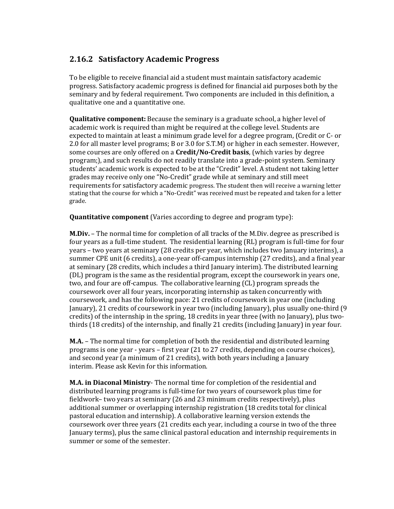## **2.16.2 Satisfactory Academic Progress**

To be eligible to receive financial aid a student must maintain satisfactory academic progress. Satisfactory academic progress is defined for financial aid purposes both by the seminary and by federal requirement. Two components are included in this definition, a qualitative one and a quantitative one.

**Qualitative component:** Because the seminary is a graduate school, a higher level of academic work is required than might be required at the college level. Students are expected to maintain at least a minimum grade level for a degree program, (Credit or C- or 2.0 for all master level programs; B or 3.0 for S.T.M) or higher in each semester. However, some courses are only offered on a **Credit/No-Credit basis**, (which varies by degree program;), and such results do not readily translate into a grade-point system. Seminary students' academic work is expected to be at the "Credit" level. A student not taking letter grades may receive only one "No-Credit" grade while at seminary and still meet requirements for satisfactory academic progress. The student then will receive a warning letter stating that the course for which a "No-Credit" was received must be repeated and taken for a letter grade.

**Quantitative component** (Varies according to degree and program type):

**M.Div.** – The normal time for completion of all tracks of the M.Div. degree as prescribed is four years as a full-time student. The residential learning (RL) program is full-time for four years – two years at seminary (28 credits per year, which includes two January interims), a summer CPE unit (6 credits), a one-year off-campus internship (27 credits), and a final year at seminary (28 credits, which includes a third January interim). The distributed learning (DL) program is the same as the residential program, except the coursework in years one, two, and four are off-campus. The collaborative learning (CL) program spreads the coursework over all four years, incorporating internship as taken concurrently with coursework, and has the following pace: 21 credits of coursework in year one (including January), 21 credits of coursework in year two (including January), plus usually one-third (9 credits) of the internship in the spring, 18 credits in year three (with no January), plus twothirds (18 credits) of the internship, and finally 21 credits (including January) in year four.

**M.A.** – The normal time for completion of both the residential and distributed learning programs is one year - years – first year (21 to 27 credits, depending on course choices), and second year (a minimum of 21 credits), with both years including a January interim. Please ask Kevin for this information.

**M.A. in Diaconal Ministry**- The normal time for completion of the residential and distributed learning programs is full-time for two years of coursework plus time for fieldwork– two years at seminary (26 and 23 minimum credits respectively), plus additional summer or overlapping internship registration (18 credits total for clinical pastoral education and internship). A collaborative learning version extends the coursework over three years (21 credits each year, including a course in two of the three January terms), plus the same clinical pastoral education and internship requirements in summer or some of the semester.